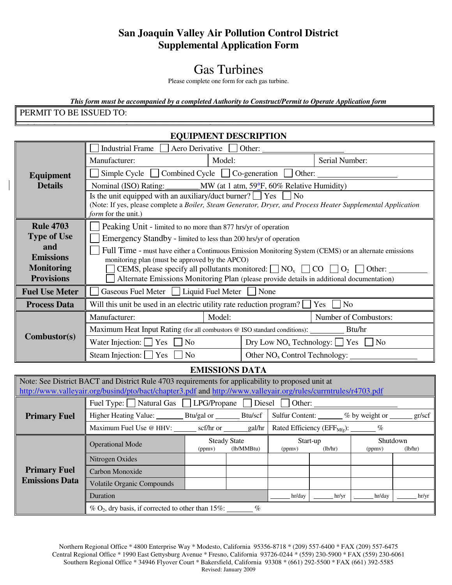## **San Joaquin Valley Air Pollution Control District Supplemental Application Form**

# Gas Turbines

Please complete one form for each gas turbine.

*This form must be accompanied by a completed Authority to Construct/Permit to Operate Application form* PERMIT TO BE ISSUED TO:

#### LOCATION WHERE THE EQUIPMENT WILL BE OPERATED: **EQUIPMENT DESCRIPTION**

| Equipment             | Aero Derivative<br><b>Industrial Frame</b><br>Other:                                                                                                                                                                           |        |                                                                                   |                       |  |  |
|-----------------------|--------------------------------------------------------------------------------------------------------------------------------------------------------------------------------------------------------------------------------|--------|-----------------------------------------------------------------------------------|-----------------------|--|--|
|                       | Manufacturer:                                                                                                                                                                                                                  | Model: |                                                                                   | Serial Number:        |  |  |
|                       | Simple Cycle $\Box$ Combined Cycle $\Box$ Co-generation $\Box$ Other:                                                                                                                                                          |        |                                                                                   |                       |  |  |
| <b>Details</b>        | Nominal (ISO) Rating: ________MW (at 1 atm, 59°F, 60% Relative Humidity)                                                                                                                                                       |        |                                                                                   |                       |  |  |
|                       | Is the unit equipped with an auxiliary/duct burner? $\Box$ Yes $\Box$<br>N <sub>o</sub><br>(Note: If yes, please complete a Boiler, Steam Generator, Dryer, and Process Heater Supplemental Application<br>form for the unit.) |        |                                                                                   |                       |  |  |
| <b>Rule 4703</b>      | Peaking Unit - limited to no more than 877 hrs/yr of operation                                                                                                                                                                 |        |                                                                                   |                       |  |  |
| <b>Type of Use</b>    | Emergency Standby - limited to less than 200 hrs/yr of operation                                                                                                                                                               |        |                                                                                   |                       |  |  |
| and                   | Full Time - must have either a Continuous Emission Monitoring System (CEMS) or an alternate emissions                                                                                                                          |        |                                                                                   |                       |  |  |
| <b>Emissions</b>      | monitoring plan (must be approved by the APCO)                                                                                                                                                                                 |        |                                                                                   |                       |  |  |
| <b>Monitoring</b>     | CEMS, please specify all pollutants monitored: $\Box$ NO <sub>x</sub> $\Box$ CO $\Box$ O <sub>2</sub> $\Box$ Other:                                                                                                            |        |                                                                                   |                       |  |  |
| <b>Provisions</b>     | Alternate Emissions Monitoring Plan (please provide details in additional documentation)                                                                                                                                       |        |                                                                                   |                       |  |  |
| <b>Fuel Use Meter</b> | Gaseous Fuel Meter   Liquid Fuel Meter   None                                                                                                                                                                                  |        |                                                                                   |                       |  |  |
| <b>Process Data</b>   | Will this unit be used in an electric utility rate reduction program?<br>Yes  <br>N <sub>o</sub>                                                                                                                               |        |                                                                                   |                       |  |  |
| Combustor(s)          | Manufacturer:                                                                                                                                                                                                                  | Model: |                                                                                   | Number of Combustors: |  |  |
|                       | Maximum Heat Input Rating (for all combustors @ ISO standard conditions):<br>Btu/hr                                                                                                                                            |        |                                                                                   |                       |  |  |
|                       | Yes<br>No<br>Water Injection: $\Box$                                                                                                                                                                                           |        | $\text{Dry Low NO}_x \text{ Technology: } \bigsqcup \text{Yes}$<br>N <sub>0</sub> |                       |  |  |
|                       | Steam Injection:<br>Yes<br>N <sub>0</sub>                                                                                                                                                                                      |        | Other $NOx$ Control Technology:                                                   |                       |  |  |

**EMISSIONS DATA** 

| Note: See District BACT and District Rule 4703 requirements for applicability to proposed unit at              |                                                                          |                                                                   |                                                   |         |                                                      |         |       |
|----------------------------------------------------------------------------------------------------------------|--------------------------------------------------------------------------|-------------------------------------------------------------------|---------------------------------------------------|---------|------------------------------------------------------|---------|-------|
| http://www.valleyair.org/busind/pto/bact/chapter3.pdf and http://www.valleyair.org/rules/currntrules/r4703.pdf |                                                                          |                                                                   |                                                   |         |                                                      |         |       |
| <b>Primary Fuel</b>                                                                                            | Fuel Type: Natural Gas LPG/Propane<br><b>Diesel</b><br>Other:            |                                                                   |                                                   |         |                                                      |         |       |
|                                                                                                                | Higher Heating Value: Btu/gal or Btu/scf                                 |                                                                   | <b>Sulfur Content:</b><br>$%$ by weight or $\Box$ |         |                                                      | gr/scf  |       |
|                                                                                                                | Maximum Fuel Use @ HHV: scf/hr or ______ gal/hr                          |                                                                   |                                                   |         | Rated Efficiency (EFF $_{Mfg}$ ): $\qquad \qquad \%$ |         |       |
| <b>Primary Fuel</b><br><b>Emissions Data</b>                                                                   | <b>Operational Mode</b>                                                  | <b>Steady State</b><br>Start-up<br>(lb/MMBtu)<br>(ppmv)<br>(ppmy) |                                                   | (lb/hr) | Shutdown<br>(ppmv)                                   | (lb/hr) |       |
|                                                                                                                | Nitrogen Oxides                                                          |                                                                   |                                                   |         |                                                      |         |       |
|                                                                                                                | Carbon Monoxide                                                          |                                                                   |                                                   |         |                                                      |         |       |
|                                                                                                                | <b>Volatile Organic Compounds</b>                                        |                                                                   |                                                   |         |                                                      |         |       |
|                                                                                                                | Duration                                                                 |                                                                   |                                                   | hr/day  | hr/yr                                                | hr/day  | hr/yr |
|                                                                                                                | $\%$ O <sub>2</sub> , dry basis, if corrected to other than 15%:<br>$\%$ |                                                                   |                                                   |         |                                                      |         |       |

Northern Regional Office \* 4800 Enterprise Way \* Modesto, California 95356-8718 \* (209) 557-6400 \* FAX (209) 557-6475 Central Regional Office \* 1990 East Gettysburg Avenue \* Fresno, California 93726-0244 \* (559) 230-5900 \* FAX (559) 230-6061 Southern Regional Office \* 34946 Flyover Court \* Bakersfield, California 93308 \* (661) 292-5500 \* FAX (661) 392-5585 Revised: January 2009